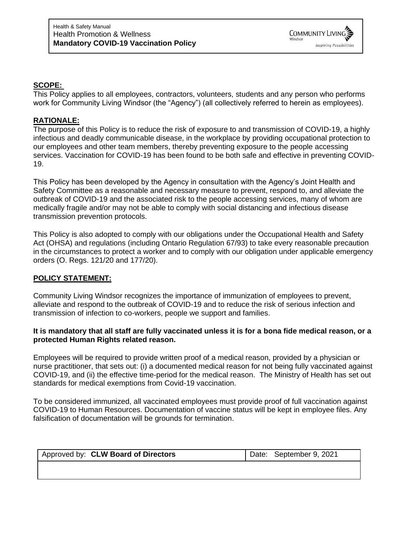

#### **SCOPE:**

This Policy applies to all employees, contractors, volunteers, students and any person who performs work for Community Living Windsor (the "Agency") (all collectively referred to herein as employees).

#### **RATIONALE:**

The purpose of this Policy is to reduce the risk of exposure to and transmission of COVID-19, a highly infectious and deadly communicable disease, in the workplace by providing occupational protection to our employees and other team members, thereby preventing exposure to the people accessing services. Vaccination for COVID-19 has been found to be both safe and effective in preventing COVID-19.

This Policy has been developed by the Agency in consultation with the Agency's Joint Health and Safety Committee as a reasonable and necessary measure to prevent, respond to, and alleviate the outbreak of COVID-19 and the associated risk to the people accessing services, many of whom are medically fragile and/or may not be able to comply with social distancing and infectious disease transmission prevention protocols.

This Policy is also adopted to comply with our obligations under the Occupational Health and Safety Act (OHSA) and regulations (including Ontario Regulation 67/93) to take every reasonable precaution in the circumstances to protect a worker and to comply with our obligation under applicable emergency orders (O. Regs. 121/20 and 177/20).

### **POLICY STATEMENT:**

Community Living Windsor recognizes the importance of immunization of employees to prevent, alleviate and respond to the outbreak of COVID-19 and to reduce the risk of serious infection and transmission of infection to co-workers, people we support and families.

#### **It is mandatory that all staff are fully vaccinated unless it is for a bona fide medical reason, or a protected Human Rights related reason.**

Employees will be required to provide written proof of a medical reason, provided by a physician or nurse practitioner, that sets out: (i) a documented medical reason for not being fully vaccinated against COVID-19, and (ii) the effective time-period for the medical reason. The Ministry of Health has set out standards for medical exemptions from Covid-19 vaccination.

To be considered immunized, all vaccinated employees must provide proof of full vaccination against COVID-19 to Human Resources. Documentation of vaccine status will be kept in employee files. Any falsification of documentation will be grounds for termination.

| Approved by: CLW Board of Directors | Date: September 9, 2021 |
|-------------------------------------|-------------------------|
|                                     |                         |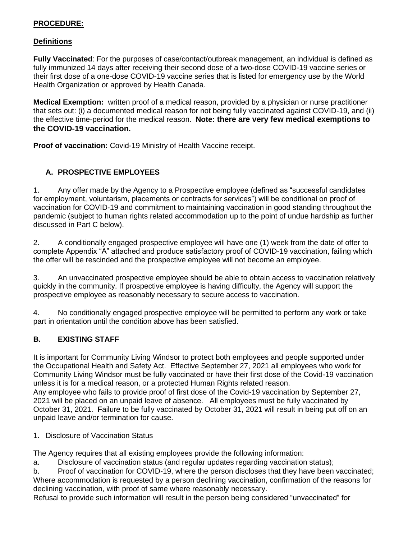## **PROCEDURE:**

## **Definitions**

**Fully Vaccinated**: For the purposes of case/contact/outbreak management, an individual is defined as fully immunized 14 days after receiving their second dose of a two-dose COVID-19 vaccine series or their first dose of a one-dose COVID-19 vaccine series that is listed for emergency use by the World Health Organization or approved by Health Canada.

**Medical Exemption:** written proof of a medical reason, provided by a physician or nurse practitioner that sets out: (i) a documented medical reason for not being fully vaccinated against COVID-19, and (ii) the effective time-period for the medical reason. **Note: there are very few medical exemptions to the COVID-19 vaccination.**

**Proof of vaccination:** Covid-19 Ministry of Health Vaccine receipt.

## **A. PROSPECTIVE EMPLOYEES**

1. Any offer made by the Agency to a Prospective employee (defined as "successful candidates for employment, voluntarism, placements or contracts for services") will be conditional on proof of vaccination for COVID-19 and commitment to maintaining vaccination in good standing throughout the pandemic (subject to human rights related accommodation up to the point of undue hardship as further discussed in Part C below).

2. A conditionally engaged prospective employee will have one (1) week from the date of offer to complete Appendix "A" attached and produce satisfactory proof of COVID-19 vaccination, failing which the offer will be rescinded and the prospective employee will not become an employee.

3. An unvaccinated prospective employee should be able to obtain access to vaccination relatively quickly in the community. If prospective employee is having difficulty, the Agency will support the prospective employee as reasonably necessary to secure access to vaccination.

4. No conditionally engaged prospective employee will be permitted to perform any work or take part in orientation until the condition above has been satisfied.

# **B. EXISTING STAFF**

It is important for Community Living Windsor to protect both employees and people supported under the Occupational Health and Safety Act. Effective September 27, 2021 all employees who work for Community Living Windsor must be fully vaccinated or have their first dose of the Covid-19 vaccination unless it is for a medical reason, or a protected Human Rights related reason.

Any employee who fails to provide proof of first dose of the Covid-19 vaccination by September 27, 2021 will be placed on an unpaid leave of absence. All employees must be fully vaccinated by October 31, 2021. Failure to be fully vaccinated by October 31, 2021 will result in being put off on an unpaid leave and/or termination for cause.

## 1. Disclosure of Vaccination Status

The Agency requires that all existing employees provide the following information:

a. Disclosure of vaccination status (and regular updates regarding vaccination status);

b. Proof of vaccination for COVID-19, where the person discloses that they have been vaccinated; Where accommodation is requested by a person declining vaccination, confirmation of the reasons for declining vaccination, with proof of same where reasonably necessary.

Refusal to provide such information will result in the person being considered "unvaccinated" for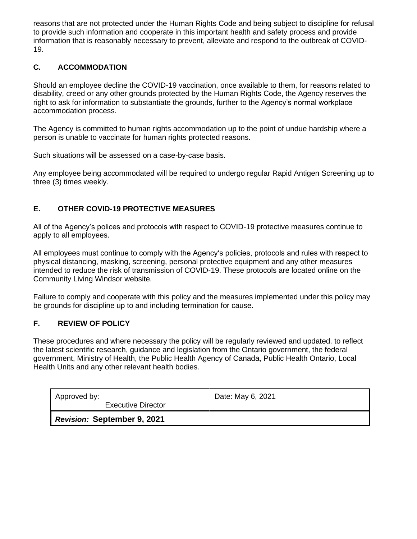reasons that are not protected under the Human Rights Code and being subject to discipline for refusal to provide such information and cooperate in this important health and safety process and provide information that is reasonably necessary to prevent, alleviate and respond to the outbreak of COVID-19.

# **C. ACCOMMODATION**

Should an employee decline the COVID-19 vaccination, once available to them, for reasons related to disability, creed or any other grounds protected by the Human Rights Code, the Agency reserves the right to ask for information to substantiate the grounds, further to the Agency's normal workplace accommodation process.

The Agency is committed to human rights accommodation up to the point of undue hardship where a person is unable to vaccinate for human rights protected reasons.

Such situations will be assessed on a case-by-case basis.

Any employee being accommodated will be required to undergo regular Rapid Antigen Screening up to three (3) times weekly.

## **E. OTHER COVID-19 PROTECTIVE MEASURES**

All of the Agency's polices and protocols with respect to COVID-19 protective measures continue to apply to all employees.

All employees must continue to comply with the Agency's policies, protocols and rules with respect to physical distancing, masking, screening, personal protective equipment and any other measures intended to reduce the risk of transmission of COVID-19. These protocols are located online on the Community Living Windsor website.

Failure to comply and cooperate with this policy and the measures implemented under this policy may be grounds for discipline up to and including termination for cause.

## **F. REVIEW OF POLICY**

These procedures and where necessary the policy will be regularly reviewed and updated. to reflect the latest scientific research, guidance and legislation from the Ontario government, the federal government, Ministry of Health, the Public Health Agency of Canada, Public Health Ontario, Local Health Units and any other relevant health bodies.

| Approved by:<br><b>Executive Director</b> | Date: May 6, 2021 |
|-------------------------------------------|-------------------|
| <b>Revision: September 9, 2021</b>        |                   |